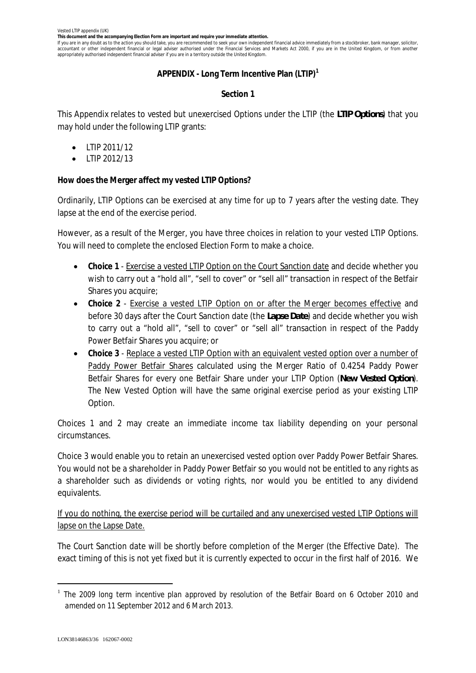**This document and the accompanying Election Form are important and require your immediate attention.**

If you are in any doubt as to the action you should take, you are recommended to seek your own independent financial advice immediately from a stockbroker, bank manager, solicitor, accountant or other independent financial or legal adviser authorised under the Financial Services and Markets Act 2000, if you are in the United Kingdom, or from another appropriately authorised independent financial adviser if you are in a territory outside the United Kingdom.

# **APPENDIX - Long Term Incentive Plan (LTIP)<sup>1</sup>**

# **Section 1**

This Appendix relates to vested but unexercised Options under the LTIP (the *LTIP Options*) that you may hold under the following LTIP grants:

- · LTIP 2011/12
- · LTIP 2012/13

**How does the Merger affect my vested LTIP Options?**

Ordinarily, LTIP Options can be exercised at any time for up to 7 years after the vesting date. They lapse at the end of the exercise period.

However, as a result of the Merger, you have three choices in relation to your vested LTIP Options. You will need to complete the enclosed Election Form to make a choice.

- · **Choice 1** Exercise a vested LTIP Option on the Court Sanction date and decide whether you wish to carry out a "hold all", "sell to cover" or "sell all" transaction in respect of the Betfair Shares you acquire;
- · **Choice 2** Exercise a vested LTIP Option on or after the Merger becomes effective and before 30 days after the Court Sanction date (the *Lapse Date*) and decide whether you wish to carry out a "hold all", "sell to cover" or "sell all" transaction in respect of the Paddy Power Betfair Shares you acquire; or
- · **Choice 3** Replace a vested LTIP Option with an equivalent vested option over a number of Paddy Power Betfair Shares calculated using the Merger Ratio of 0.4254 Paddy Power Betfair Shares for every one Betfair Share under your LTIP Option (*New Vested Option*). The New Vested Option will have the same original exercise period as your existing LTIP Option.

Choices 1 and 2 may create an immediate income tax liability depending on your personal circumstances.

Choice 3 would enable you to retain an unexercised vested option over Paddy Power Betfair Shares. You would not be a shareholder in Paddy Power Betfair so you would not be entitled to any rights as a shareholder such as dividends or voting rights, nor would you be entitled to any dividend equivalents.

If you do nothing, the exercise period will be curtailed and any unexercised vested LTIP Options will lapse on the Lapse Date.

The Court Sanction date will be shortly before completion of the Merger (the Effective Date). The exact timing of this is not yet fixed but it is currently expected to occur in the first half of 2016. We

<sup>1</sup> *The 2009 long term incentive plan approved by resolution of the Betfair Board on 6 October 2010 and amended on 11 September 2012 and 6 March 2013.*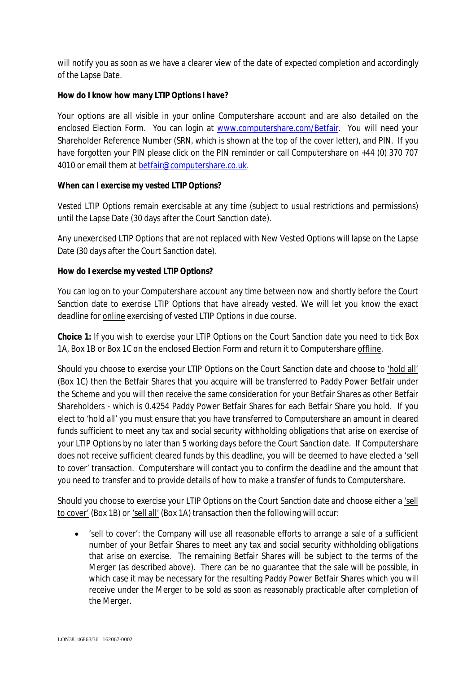will notify you as soon as we have a clearer view of the date of expected completion and accordingly of the Lapse Date.

**How do I know how many LTIP Options I have?**

Your options are all visible in your online Computershare account and are also detailed on the enclosed Election Form. You can login at www.computershare.com/Betfair. You will need your Shareholder Reference Number (SRN, which is shown at the top of the cover letter), and PIN. If you have forgotten your PIN please click on the PIN reminder or call Computershare on +44 (0) 370 707 4010 or email them at betfair@computershare.co.uk.

**When can I exercise my vested LTIP Options?**

*Vested* LTIP Options remain exercisable at any time (subject to usual restrictions and permissions) until the Lapse Date (30 days after the Court Sanction date).

Any unexercised LTIP Options that are not replaced with New Vested Options will lapse on the Lapse Date (30 days after the Court Sanction date).

**How do I exercise my vested LTIP Options?**

You can log on to your Computershare account any time between now and shortly before the Court Sanction date to exercise LTIP Options that have already vested. We will let you know the exact deadline for online exercising of vested LTIP Options in due course.

**Choice 1:** If you wish to exercise your LTIP Options on the Court Sanction date you need to tick Box 1A, Box 1B or Box 1C on the enclosed Election Form and return it to Computershare offline.

Should you choose to exercise your LTIP Options on the Court Sanction date and choose to 'hold all' (Box 1C) then the Betfair Shares that you acquire will be transferred to Paddy Power Betfair under the Scheme and you will then receive the same consideration for your Betfair Shares as other Betfair Shareholders - which is 0.4254 Paddy Power Betfair Shares for each Betfair Share you hold. If you elect to 'hold all' you must ensure that you have transferred to Computershare an amount in cleared funds sufficient to meet any tax and social security withholding obligations that arise on exercise of your LTIP Options by no later than 5 working days before the Court Sanction date. If Computershare does not receive sufficient cleared funds by this deadline, you will be deemed to have elected a 'sell to cover' transaction. Computershare will contact you to confirm the deadline and the amount that you need to transfer and to provide details of how to make a transfer of funds to Computershare.

Should you choose to exercise your LTIP Options on the Court Sanction date and choose either a 'sell to cover' (Box 1B) or 'sell all' (Box 1A) transaction then the following will occur:

· 'sell to cover': the Company will use all reasonable efforts to arrange a sale of a sufficient number of your Betfair Shares to meet any tax and social security withholding obligations that arise on exercise. The remaining Betfair Shares will be subject to the terms of the Merger (as described above). There can be no guarantee that the sale will be possible, in which case it may be necessary for the resulting Paddy Power Betfair Shares which you will receive under the Merger to be sold as soon as reasonably practicable after completion of the Merger.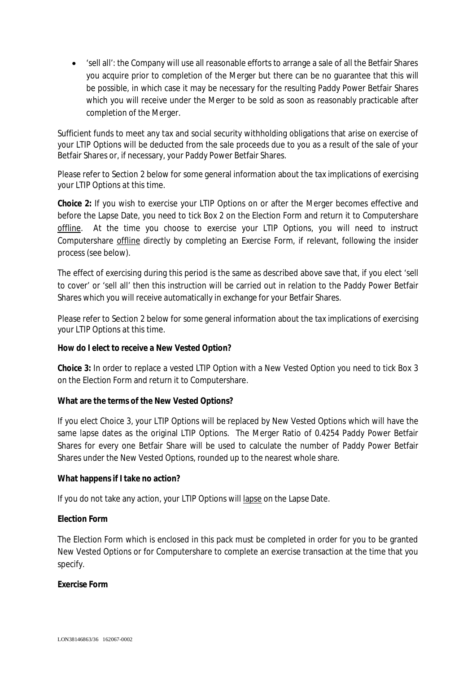· 'sell all': the Company will use all reasonable efforts to arrange a sale of all the Betfair Shares you acquire prior to completion of the Merger but there can be no guarantee that this will be possible, in which case it may be necessary for the resulting Paddy Power Betfair Shares which you will receive under the Merger to be sold as soon as reasonably practicable after completion of the Merger.

Sufficient funds to meet any tax and social security withholding obligations that arise on exercise of your LTIP Options will be deducted from the sale proceeds due to you as a result of the sale of your Betfair Shares or, if necessary, your Paddy Power Betfair Shares.

Please refer to Section 2 below for some general information about the tax implications of exercising your LTIP Options at this time.

**Choice 2:** If you wish to exercise your LTIP Options on or after the Merger becomes effective and before the Lapse Date, you need to tick Box 2 on the Election Form and return it to Computershare offline. At the time you choose to exercise your LTIP Options, you will need to instruct Computershare offline directly by completing an Exercise Form, if relevant, following the insider process (see below).

The effect of exercising during this period is the same as described above save that, if you elect 'sell to cover' or 'sell all' then this instruction will be carried out in relation to the Paddy Power Betfair Shares which you will receive automatically in exchange for your Betfair Shares.

Please refer to Section 2 below for some general information about the tax implications of exercising your LTIP Options at this time.

**How do I elect to receive a New Vested Option?**

**Choice 3:** In order to replace a vested LTIP Option with a New Vested Option you need to tick Box 3 on the Election Form and return it to Computershare.

**What are the terms of the New Vested Options?**

If you elect Choice 3, your LTIP Options will be replaced by New Vested Options which will have the same lapse dates as the original LTIP Options. The Merger Ratio of 0.4254 Paddy Power Betfair Shares for every one Betfair Share will be used to calculate the number of Paddy Power Betfair Shares under the New Vested Options, rounded up to the nearest whole share.

**What happens if I take no action?**

If you do not take any action, your LTIP Options will lapse on the Lapse Date.

**Election Form**

The Election Form which is enclosed in this pack must be completed in order for you to be granted New Vested Options or for Computershare to complete an exercise transaction at the time that you specify.

**Exercise Form**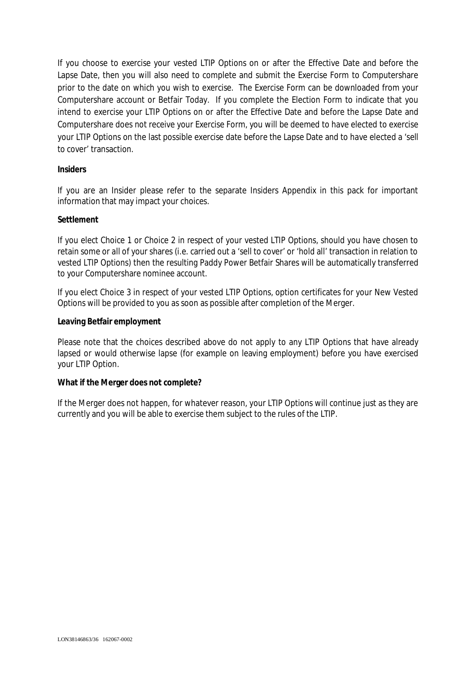If you choose to exercise your vested LTIP Options on or after the Effective Date and before the Lapse Date, then you will also need to complete and submit the Exercise Form to Computershare prior to the date on which you wish to exercise. The Exercise Form can be downloaded from your Computershare account or Betfair Today. If you complete the Election Form to indicate that you intend to exercise your LTIP Options on or after the Effective Date and before the Lapse Date and Computershare does not receive your Exercise Form, you will be deemed to have elected to exercise your LTIP Options on the last possible exercise date before the Lapse Date and to have elected a 'sell to cover' transaction.

### **Insiders**

If you are an Insider please refer to the separate Insiders Appendix in this pack for important information that may impact your choices.

### **Settlement**

If you elect Choice 1 or Choice 2 in respect of your vested LTIP Options, should you have chosen to retain some or all of your shares (i.e. carried out a 'sell to cover' or 'hold all' transaction in relation to vested LTIP Options) then the resulting Paddy Power Betfair Shares will be automatically transferred to your Computershare nominee account.

If you elect Choice 3 in respect of your vested LTIP Options, option certificates for your New Vested Options will be provided to you as soon as possible after completion of the Merger.

### **Leaving Betfair employment**

Please note that the choices described above do not apply to any LTIP Options that have already lapsed or would otherwise lapse (for example on leaving employment) before you have exercised your LTIP Option.

## **What if the Merger does not complete?**

If the Merger does not happen, for whatever reason, your LTIP Options will continue just as they are currently and you will be able to exercise them subject to the rules of the LTIP.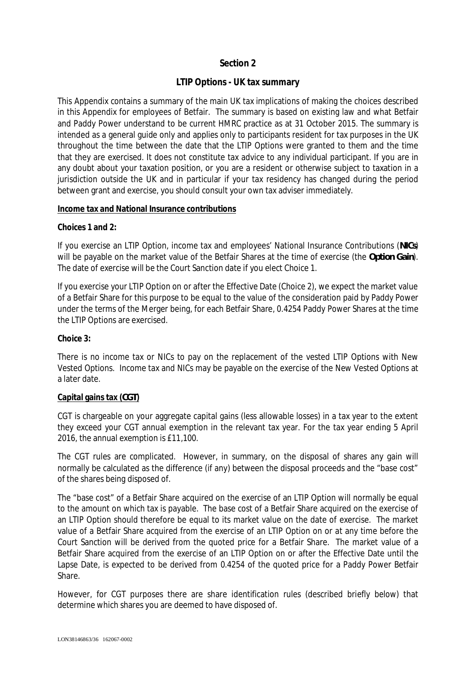# **Section 2**

# **LTIP Options - UK tax summary**

This Appendix contains a summary of the main UK tax implications of making the choices described in this Appendix for employees of Betfair. The summary is based on existing law and what Betfair and Paddy Power understand to be current HMRC practice as at 31 October 2015. The summary is intended as a general guide only and applies only to participants resident for tax purposes in the UK throughout the time between the date that the LTIP Options were granted to them and the time that they are exercised. It does not constitute tax advice to any individual participant. If you are in any doubt about your taxation position, or you are a resident or otherwise subject to taxation in a jurisdiction outside the UK and in particular if your tax residency has changed during the period between grant and exercise, you should consult your own tax adviser immediately.

### **Income tax and National Insurance contributions**

**Choices 1 and 2:**

If you exercise an LTIP Option, income tax and employees' National Insurance Contributions (*NICs*) will be payable on the market value of the Betfair Shares at the time of exercise (the *Option Gain*). The date of exercise will be the Court Sanction date if you elect Choice 1.

If you exercise your LTIP Option on or after the Effective Date (Choice 2), we expect the market value of a Betfair Share for this purpose to be equal to the value of the consideration paid by Paddy Power under the terms of the Merger being, for each Betfair Share, 0.4254 Paddy Power Shares at the time the LTIP Options are exercised.

**Choice 3:**

There is no income tax or NICs to pay on the replacement of the vested LTIP Options with New Vested Options. Income tax and NICs may be payable on the exercise of the New Vested Options at a later date.

## **Capital gains tax (***CGT***)**

CGT is chargeable on your aggregate capital gains (less allowable losses) in a tax year to the extent they exceed your CGT annual exemption in the relevant tax year. For the tax year ending 5 April 2016, the annual exemption is £11,100.

The CGT rules are complicated. However, in summary, on the disposal of shares any gain will normally be calculated as the difference (if any) between the disposal proceeds and the "base cost" of the shares being disposed of.

The "base cost" of a Betfair Share acquired on the exercise of an LTIP Option will normally be equal to the amount on which tax is payable. The base cost of a Betfair Share acquired on the exercise of an LTIP Option should therefore be equal to its market value on the date of exercise. The market value of a Betfair Share acquired from the exercise of an LTIP Option on or at any time before the Court Sanction will be derived from the quoted price for a Betfair Share. The market value of a Betfair Share acquired from the exercise of an LTIP Option on or after the Effective Date until the Lapse Date, is expected to be derived from 0.4254 of the quoted price for a Paddy Power Betfair Share.

However, for CGT purposes there are share identification rules (described briefly below) that determine which shares you are deemed to have disposed of.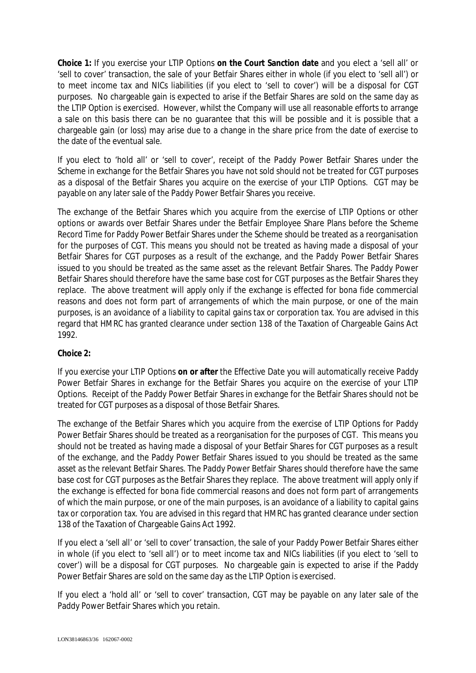**Choice 1:** If you exercise your LTIP Options **on the Court Sanction date** and you elect a 'sell all' or 'sell to cover' transaction, the sale of your Betfair Shares either in whole (if you elect to 'sell all') or to meet income tax and NICs liabilities (if you elect to 'sell to cover') will be a disposal for CGT purposes. No chargeable gain is expected to arise if the Betfair Shares are sold on the same day as the LTIP Option is exercised. However, whilst the Company will use all reasonable efforts to arrange a sale on this basis there can be no guarantee that this will be possible and it is possible that a chargeable gain (or loss) may arise due to a change in the share price from the date of exercise to the date of the eventual sale.

If you elect to 'hold all' or 'sell to cover', receipt of the Paddy Power Betfair Shares under the Scheme in exchange for the Betfair Shares you have not sold should not be treated for CGT purposes as a disposal of the Betfair Shares you acquire on the exercise of your LTIP Options. CGT may be payable on any later sale of the Paddy Power Betfair Shares you receive.

The exchange of the Betfair Shares which you acquire from the exercise of LTIP Options or other options or awards over Betfair Shares under the Betfair Employee Share Plans before the Scheme Record Time for Paddy Power Betfair Shares under the Scheme should be treated as a reorganisation for the purposes of CGT. This means you should not be treated as having made a disposal of your Betfair Shares for CGT purposes as a result of the exchange, and the Paddy Power Betfair Shares issued to you should be treated as the same asset as the relevant Betfair Shares. The Paddy Power Betfair Shares should therefore have the same base cost for CGT purposes as the Betfair Shares they replace. The above treatment will apply only if the exchange is effected for bona fide commercial reasons and does not form part of arrangements of which the main purpose, or one of the main purposes, is an avoidance of a liability to capital gains tax or corporation tax. You are advised in this regard that HMRC has granted clearance under section 138 of the Taxation of Chargeable Gains Act 1992.

## **Choice 2:**

If you exercise your LTIP Options **on or after** the Effective Date you will automatically receive Paddy Power Betfair Shares in exchange for the Betfair Shares you acquire on the exercise of your LTIP Options. Receipt of the Paddy Power Betfair Shares in exchange for the Betfair Shares should not be treated for CGT purposes as a disposal of those Betfair Shares.

The exchange of the Betfair Shares which you acquire from the exercise of LTIP Options for Paddy Power Betfair Shares should be treated as a reorganisation for the purposes of CGT. This means you should not be treated as having made a disposal of your Betfair Shares for CGT purposes as a result of the exchange, and the Paddy Power Betfair Shares issued to you should be treated as the same asset as the relevant Betfair Shares. The Paddy Power Betfair Shares should therefore have the same base cost for CGT purposes as the Betfair Shares they replace. The above treatment will apply only if the exchange is effected for bona fide commercial reasons and does not form part of arrangements of which the main purpose, or one of the main purposes, is an avoidance of a liability to capital gains tax or corporation tax. You are advised in this regard that HMRC has granted clearance under section 138 of the Taxation of Chargeable Gains Act 1992.

If you elect a 'sell all' or 'sell to cover' transaction, the sale of your Paddy Power Betfair Shares either in whole (if you elect to 'sell all') or to meet income tax and NICs liabilities (if you elect to 'sell to cover') will be a disposal for CGT purposes. No chargeable gain is expected to arise if the Paddy Power Betfair Shares are sold on the same day as the LTIP Option is exercised.

If you elect a 'hold all' or 'sell to cover' transaction, CGT may be payable on any later sale of the Paddy Power Betfair Shares which you retain.